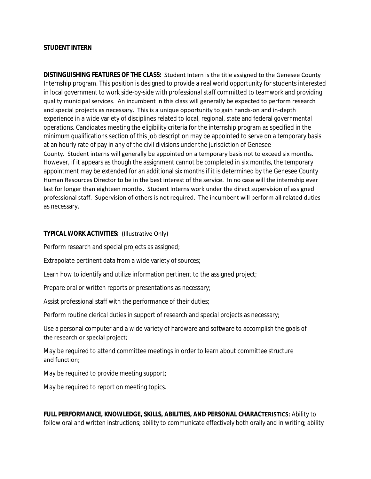## **STUDENT INTERN**

**DISTINGUISHING FEATURES OF THE CLASS:** Student Intern is the title assigned to the Genesee County Internship program. This position is designed to provide a real world opportunity for students interested in local government to work side-by-side with professional staff committed to teamwork and providing quality municipal services. An incumbent in this class will generally be expected to perform research and special projects as necessary. This is a unique opportunity to gain hands-on and in-depth experience in a wide variety of disciplines related to local, regional, state and federal governmental operations. Candidates meeting the eligibility criteria for the internship program as specified in the minimum qualifications section of this job description may be appointed to serve on a temporary basis at an hourly rate of pay in any of the civil divisions under the jurisdiction of Genesee County. Student interns will generally be appointed on a temporary basis not to exceed six months. However, if it appears as though the assignment cannot be completed in six months, the temporary appointment may be extended for an additional six months if it is determined by the Genesee County Human Resources Director to be in the best interest of the service. In no case will the internship ever last for longer than eighteen months. Student Interns work under the direct supervision of assigned professional staff. Supervision of others is not required. The incumbent will perform all related duties as necessary.

## **TYPICAL WORK ACTIVITIES:** (Illustrative Only)

Perform research and special projects as assigned;

Extrapolate pertinent data from a wide variety of sources;

Learn how to identify and utilize information pertinent to the assigned project;

Prepare oral or written reports or presentations as necessary;

Assist professional staff with the performance of their duties;

Perform routine clerical duties in support of research and special projects as necessary;

Use a personal computer and a wide variety of hardware and software to accomplish the goals of the research or special project;

May be required to attend committee meetings in order to learn about committee structure and function;

May be required to provide meeting support;

May be required to report on meeting topics.

**FULL PERFORMANCE, KNOWLEDGE, SKILLS, ABILITIES, AND PERSONAL CHARACTERISTICS:** Ability to follow oral and written instructions; ability to communicate effectively both orally and in writing; ability